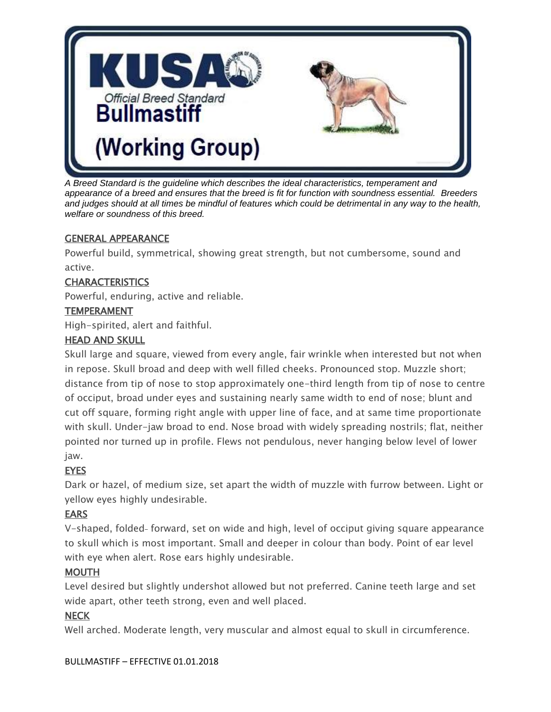

*A Breed Standard is the guideline which describes the ideal characteristics, temperament and appearance of a breed and ensures that the breed is fit for function with soundness essential. Breeders and judges should at all times be mindful of features which could be detrimental in any way to the health, welfare or soundness of this breed.*

#### GENERAL APPEARANCE

Powerful build, symmetrical, showing great strength, but not cumbersome, sound and active.

## **CHARACTERISTICS**

Powerful, enduring, active and reliable.

#### **TEMPERAMENT**

High-spirited, alert and faithful.

## HEAD AND SKULL

Skull large and square, viewed from every angle, fair wrinkle when interested but not when in repose. Skull broad and deep with well filled cheeks. Pronounced stop. Muzzle short; distance from tip of nose to stop approximately one-third length from tip of nose to centre of occiput, broad under eyes and sustaining nearly same width to end of nose; blunt and cut off square, forming right angle with upper line of face, and at same time proportionate with skull. Under-jaw broad to end. Nose broad with widely spreading nostrils; flat, neither pointed nor turned up in profile. Flews not pendulous, never hanging below level of lower jaw.

# **EYES**

Dark or hazel, of medium size, set apart the width of muzzle with furrow between. Light or yellow eyes highly undesirable.

# EARS

V-shaped, folded-forward, set on wide and high, level of occiput giving square appearance to skull which is most important. Small and deeper in colour than body. Point of ear level with eye when alert. Rose ears highly undesirable.

## MOUTH

Level desired but slightly undershot allowed but not preferred. Canine teeth large and set wide apart, other teeth strong, even and well placed.

## **NECK**

Well arched. Moderate length, very muscular and almost equal to skull in circumference.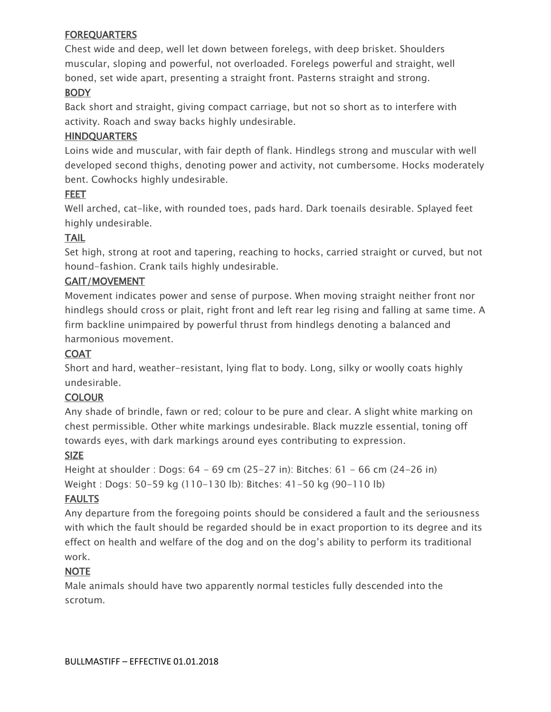#### **FOREQUARTERS**

Chest wide and deep, well let down between forelegs, with deep brisket. Shoulders muscular, sloping and powerful, not overloaded. Forelegs powerful and straight, well boned, set wide apart, presenting a straight front. Pasterns straight and strong. **BODY** 

Back short and straight, giving compact carriage, but not so short as to interfere with activity. Roach and sway backs highly undesirable.

## **HINDQUARTERS**

Loins wide and muscular, with fair depth of flank. Hindlegs strong and muscular with well developed second thighs, denoting power and activity, not cumbersome. Hocks moderately bent. Cowhocks highly undesirable.

## FEET

Well arched, cat-like, with rounded toes, pads hard. Dark toenails desirable. Splayed feet highly undesirable.

# TAIL

Set high, strong at root and tapering, reaching to hocks, carried straight or curved, but not hound-fashion. Crank tails highly undesirable.

## GAIT/MOVEMENT

Movement indicates power and sense of purpose. When moving straight neither front nor hindlegs should cross or plait, right front and left rear leg rising and falling at same time. A firm backline unimpaired by powerful thrust from hindlegs denoting a balanced and harmonious movement.

## COAT

Short and hard, weather-resistant, lying flat to body. Long, silky or woolly coats highly undesirable.

## **COLOUR**

Any shade of brindle, fawn or red; colour to be pure and clear. A slight white marking on chest permissible. Other white markings undesirable. Black muzzle essential, toning off towards eyes, with dark markings around eyes contributing to expression.

# SIZE

Height at shoulder : Dogs: 64 - 69 cm (25-27 in): Bitches: 61 - 66 cm (24-26 in) Weight : Dogs: 50-59 kg (110-130 lb): Bitches: 41-50 kg (90-110 lb)

# **FAULTS**

Any departure from the foregoing points should be considered a fault and the seriousness with which the fault should be regarded should be in exact proportion to its degree and its effect on health and welfare of the dog and on the dog's ability to perform its traditional work.

## NOTE

Male animals should have two apparently normal testicles fully descended into the scrotum.